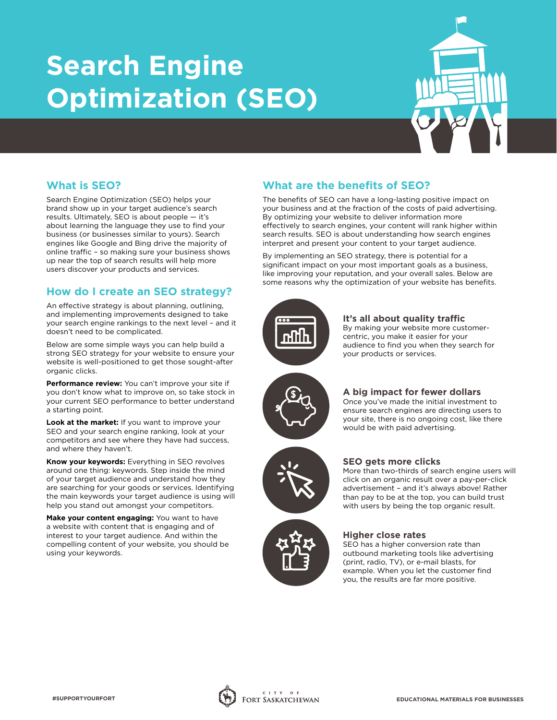# **Search Engine Optimization (SEO)**



# **What is SEO?**

Search Engine Optimization (SEO) helps your brand show up in your target audience's search results. Ultimately, SEO is about people — it's about learning the language they use to find your business (or businesses similar to yours). Search engines like Google and Bing drive the majority of online traffic – so making sure your business shows up near the top of search results will help more users discover your products and services.

# **How do I create an SEO strategy?**

An effective strategy is about planning, outlining, and implementing improvements designed to take your search engine rankings to the next level – and it doesn't need to be complicated.

Below are some simple ways you can help build a strong SEO strategy for your website to ensure your website is well-positioned to get those sought-after organic clicks.

**Performance review:** You can't improve your site if you don't know what to improve on, so take stock in your current SEO performance to better understand a starting point.

**Look at the market:** If you want to improve your SEO and your search engine ranking, look at your competitors and see where they have had success, and where they haven't.

**Know your keywords:** Everything in SEO revolves around one thing: keywords. Step inside the mind of your target audience and understand how they are searching for your goods or services. Identifying the main keywords your target audience is using will help you stand out amongst your competitors.

**Make your content engaging:** You want to have a website with content that is engaging and of interest to your target audience. And within the compelling content of your website, you should be using your keywords.

# **What are the benefits of SEO?**

The benefits of SEO can have a long-lasting positive impact on your business and at the fraction of the costs of paid advertising. By optimizing your website to deliver information more effectively to search engines, your content will rank higher within search results. SEO is about understanding how search engines interpret and present your content to your target audience.

By implementing an SEO strategy, there is potential for a significant impact on your most important goals as a business, like improving your reputation, and your overall sales. Below are some reasons why the optimization of your website has benefits.



**It's all about quality traffic** By making your website more customercentric, you make it easier for your audience to find you when they search for your products or services.



# **A big impact for fewer dollars**

Once you've made the initial investment to ensure search engines are directing users to your site, there is no ongoing cost, like there would be with paid advertising.



### **SEO gets more clicks**

More than two-thirds of search engine users will click on an organic result over a pay-per-click advertisement – and it's always above! Rather than pay to be at the top, you can build trust with users by being the top organic result.

#### **Higher close rates**

SEO has a higher conversion rate than outbound marketing tools like advertising (print, radio, TV), or e-mail blasts, for example. When you let the customer find you, the results are far more positive.